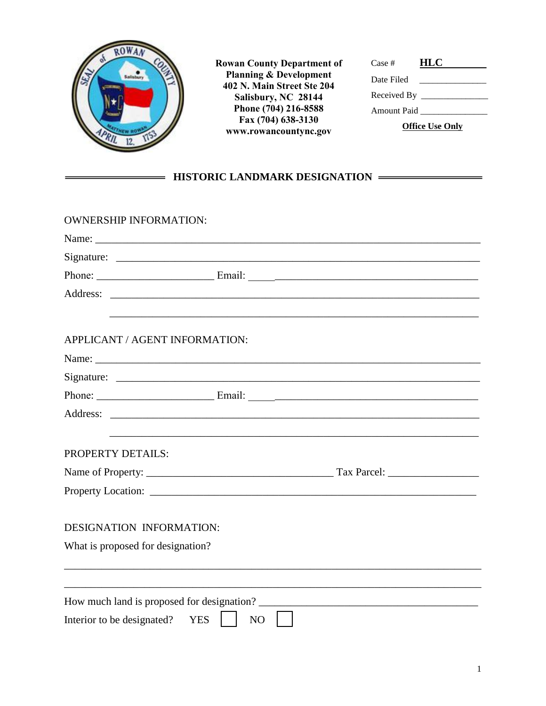

 $=$ 

**Rowan County Department of Planning & Development 402 N. Main Street Ste 204 Salisbury, NC 28144 Phone (704) 216-8588 Fax (704) 638-3130 www.rowancountync.gov**

| Case #                 | <b>HLC</b>                |  |  |  |
|------------------------|---------------------------|--|--|--|
| Date Filed             |                           |  |  |  |
|                        | Received By $\frac{1}{2}$ |  |  |  |
| Amount Paid            |                           |  |  |  |
| <b>Office Use Only</b> |                           |  |  |  |

## **HISTORIC LANDMARK DESIGNATION**

| <b>OWNERSHIP INFORMATION:</b>     |                                                                                                                                                                                                                                      |  |
|-----------------------------------|--------------------------------------------------------------------------------------------------------------------------------------------------------------------------------------------------------------------------------------|--|
|                                   |                                                                                                                                                                                                                                      |  |
|                                   | Signature: $\frac{1}{\sqrt{1-\frac{1}{2}} \cdot \frac{1}{2}}$                                                                                                                                                                        |  |
|                                   |                                                                                                                                                                                                                                      |  |
|                                   | Address: <u>the contract of the contract of the contract of the contract of the contract of the contract of the contract of the contract of the contract of the contract of the contract of the contract of the contract of the </u> |  |
|                                   |                                                                                                                                                                                                                                      |  |
| APPLICANT / AGENT INFORMATION:    |                                                                                                                                                                                                                                      |  |
|                                   |                                                                                                                                                                                                                                      |  |
|                                   |                                                                                                                                                                                                                                      |  |
|                                   |                                                                                                                                                                                                                                      |  |
|                                   |                                                                                                                                                                                                                                      |  |
|                                   |                                                                                                                                                                                                                                      |  |
| PROPERTY DETAILS:                 |                                                                                                                                                                                                                                      |  |
|                                   |                                                                                                                                                                                                                                      |  |
|                                   |                                                                                                                                                                                                                                      |  |
| <b>DESIGNATION INFORMATION:</b>   |                                                                                                                                                                                                                                      |  |
|                                   |                                                                                                                                                                                                                                      |  |
| What is proposed for designation? |                                                                                                                                                                                                                                      |  |
|                                   |                                                                                                                                                                                                                                      |  |
|                                   | How much land is proposed for designation?                                                                                                                                                                                           |  |
| Interior to be designated?        | <b>YES</b><br>NO                                                                                                                                                                                                                     |  |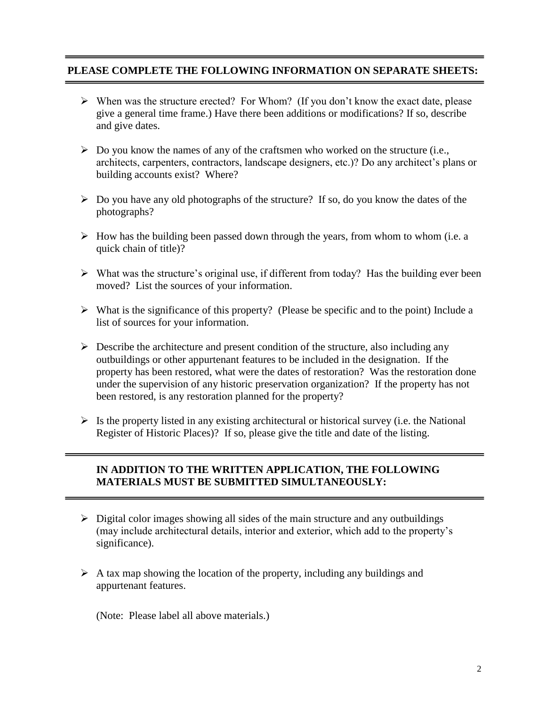## **PLEASE COMPLETE THE FOLLOWING INFORMATION ON SEPARATE SHEETS:**

- $\triangleright$  When was the structure erected? For Whom? (If you don't know the exact date, please give a general time frame.) Have there been additions or modifications? If so, describe and give dates.
- $\triangleright$  Do you know the names of any of the craftsmen who worked on the structure (i.e., architects, carpenters, contractors, landscape designers, etc.)? Do any architect's plans or building accounts exist? Where?
- $\triangleright$  Do you have any old photographs of the structure? If so, do you know the dates of the photographs?
- $\triangleright$  How has the building been passed down through the years, from whom to whom (i.e. a quick chain of title)?
- $\triangleright$  What was the structure's original use, if different from today? Has the building ever been moved? List the sources of your information.
- $\triangleright$  What is the significance of this property? (Please be specific and to the point) Include a list of sources for your information.
- $\triangleright$  Describe the architecture and present condition of the structure, also including any outbuildings or other appurtenant features to be included in the designation. If the property has been restored, what were the dates of restoration? Was the restoration done under the supervision of any historic preservation organization? If the property has not been restored, is any restoration planned for the property?
- $\triangleright$  Is the property listed in any existing architectural or historical survey (i.e. the National Register of Historic Places)? If so, please give the title and date of the listing.

## **IN ADDITION TO THE WRITTEN APPLICATION, THE FOLLOWING MATERIALS MUST BE SUBMITTED SIMULTANEOUSLY:**

- $\triangleright$  Digital color images showing all sides of the main structure and any outbuildings (may include architectural details, interior and exterior, which add to the property's significance).
- $\triangleright$  A tax map showing the location of the property, including any buildings and appurtenant features.

(Note: Please label all above materials.)